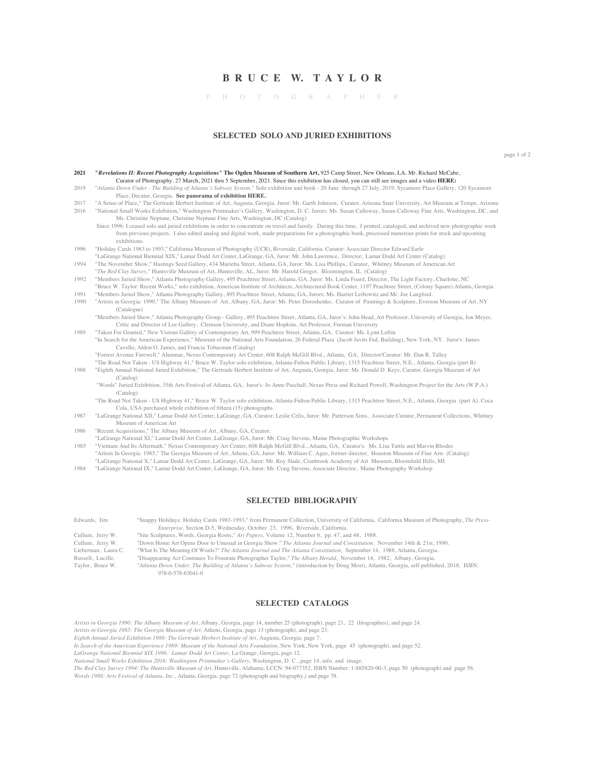# **B R U C E W. T A Y L O R**

P H O T O G R A P H E R

#### **SELECTED SOLO AND JURIED EXHIBITIONS**

page 1 of 2

| 2021 | "Revelations II: Recent Photography Acquisitions" The Ogden Museum of Southern Art, 925 Camp Street, New Orleans, LA. Mr. Richard McCabe,                              |
|------|------------------------------------------------------------------------------------------------------------------------------------------------------------------------|
|      | Curator of Photography. 27 March, 2021 thru 5 September, 2021. Since this exhibition has closed, you can still see images and a video HERE:                            |
| 2019 | "Atlanta Down Under - The Building of Atlanta's Subway System." Solo exhibition and book - 20 June through 27 July, 2019. Sycamore Place Gallery, 120 Sycamore         |
|      | Place, Decatur, Georgia. See panorama of exhibition HERE.                                                                                                              |
| 2017 | "A Sense of Place," The Gertrude Herbert Institute of Art, Augusta, Georgia. Juror: Mr. Garth Johnson, Curator, Arizona State University, Art Museum at Tempe, Arizona |
| 2016 | "National Small Works Exhibition," Washington Printmaker's Gallery, Washington, D. C. Jurors: Ms. Susan Calloway, Susan Calloway Fine Arts, Washington, DC, and        |

- Ms. Christine Neptune, Christine Neptune Fine Arts, Washington, DC (Catalog) Since 1996: I ceased solo and juried exhibitions in order to concentrate on travel and family. During this time, I printed, cataloged, and archived new photographic work from previous projects. I also edited analog and digital work, made preparations for a photographic book, processed numerous prints for stock and upcoming
- exhibitions. 1996 "Holiday Cards 1983 to 1993," California Museum of Photography (UCR), Riverside, California. Curator: Associate Director Edward Earle "LaGrange National Biennial XIX," Lamar Dodd Art Center, LaGrange, GA, Juror: Mr. John Lawrence, Director, Lamar Dodd Art Center (Catalog)
- 1994 "The November Show," Hastings Seed Gallery, 434 Marietta Street, Atlanta, GA, Juror: Ms. Lisa Phillips, Curator, Whitney Museum of American Art
- "*The Red Clay Survey*," Huntsville Museum of Art, Huntsville, AL, Juror: Mr. Harold Gregor, Bloomington, IL (Catalog) 1992 "Members Juried Show," Atlanta Photography Gallery, 495 Peachtree Street, Atlanta, GA, Juror: Ms. Linda Foard, Director, The Light Factory, Charlotte, NC
- "Bruce W. Taylor: Recent Works," solo exhibition, American Institute of Architects, Architectural Book Center, 1197 Peachtree Street, (Colony Square) Atlanta, Georgia
- 1991 "Members Juried Show," Atlanta Photography Gallery, 495 Peachtree Street, Atlanta, GA, Jurors: Ms. Harriet Leibowitz and Mr. Joe Langford.<br>1990 "Artists in Georgia: 1990." The Albany Museum of Art. Albany. GA, Juror: "Artists in Georgia: 1990," The Albany Museum of Art, Albany, GA, Juror: Mr. Peter Doroshenko, Curator of Paintings & Sculpture, Everson Museum of Art, NY (Catalogue)
	- "Members Juried Show," Atlanta Photography Group Gallery, 495 Peachtree Street, Atlanta, GA, Juror's: John Head, Art Professor, University of Georgia, Jon Meyer, Critic and Director of Lee Gallery, Clemson University, and Diane Hopkins, Art Professor, Furman University
- 1989 "Taken For Granted," New Visions Gallery of Contemporary Art, 999 Peachtree Street, Atlanta, GA, Curator: Ms. Lynn Loftin "In Search for the American Experience," Museum of the National Arts Foundation, 26 Federal Plaza (Jacob Javits Fed. Building), New York, NY. Juror's: James Cavello, Aldon O. James, and Francia Tobacman (Catalog)
	- "Forrest Avenue Farewell," Alumnae, Nexus Contemporary Art Center, 608 Ralph McGill Blvd., Atlanta, GA, Director/Curator: Mr. Dan R. Talley "The Road Not Taken - US Highway 41," Bruce W. Taylor solo exhibition, Atlanta-Fulton Public Library, 1315 Peachtree Street, N.E., Atlanta, Georgia (part B)
- 1988 "Eighth Annual National Juried Exhibition," The Gertrude Herbert Institute of Art, Augusta, Georgia, Juror: Mr. Donald D. Keys, Curator, Georgia Museum of Art (Catalog)
	- "Words" Juried Exhibition, 35th Arts Festival of Atlanta, GA, Juror's: Jo Anne Paschall, Nexus Press and Richard Powell, Washington Project for the Arts (W.P.A.) (Catalog)

"The Road Not Taken - US Highway 41," Bruce W. Taylor solo exhibition, Atlanta-Fulton Public Library, 1315 Peachtree Street, N.E., Atlanta, Georgia (part A). Coca Cola, USA purchased whole exhibition of fifteen (15) photographs.

- 1987 "LaGrange National XII," Lamar Dodd Art Center, LaGrange, GA, Curator; Leslie Celis, Juror: Mr. Patterson Sims, Associate Curator, Permanent Collections, Whitney Museum of American Art
- 1986 "Recent Acquisitions," The Albany Museum of Art, Albany, GA, Curator:
- "LaGrange National XI," Lamar Dodd Art Center, LaGrange, GA, Juror: Mr. Craig Stevens, Maine Photographic Workshops
- 1985 "Vietnam And Its Aftermath," Nexus Contemporary Art Center, 608 Ralph McGill Blvd., Atlanta, GA, Curator's: Ms. Lisa Tuttle and Marvin Rhodes
- "Artists In Georgia: 1985," The Georgia Museum of Art, Athens, GA, Juror: Mr. William C. Agee, former director, Houston Museum of Fine Arts (Catalog) "LaGrange National X," Lamar Dodd Art Center, LaGrange, GA, Juror: Mr. Roy Slade, Cranbrook Academy of Art Museum, Bloomfield Hills, MI
- 1984 "LaGrange National IX," Lamar Dodd Art Center, LaGrange, GA, Juror: Mr. Craig Stevens, Associate Director, Maine Photography Workshop

#### **SELECTED BIBLIOGRAPHY**

| Edwards, Jim        | "Snappy Holidays: Holiday Cards 1983-1993," from Permanent Collection, University of California, California Museum of Photography, The Press- |
|---------------------|-----------------------------------------------------------------------------------------------------------------------------------------------|
|                     | <i>Enterprise</i> , Section D-5, Wednesday, October 23, 1996, Riverside, California.                                                          |
| Cullum, Jerry W.    | "Site Sculptures, Words, Georgia Roots," Art Papers, Volume 12, Number 6, pp. 47, and 48, 1988.                                               |
| Cullum, Jerry W.    | "Down Home Art Opens Door to Unusual in Georgia Show." The Atlanta Journal and Constitution, November 14th & 21st, 1990.                      |
| Lieberman, Laura C. | "What Is The Meaning Of Words?" The Atlanta Journal and The Atlanta Constitution, September 14, 1988, Atlanta, Georgia.                       |
| Russell, Lucille.   | "Disappearing Act Continues To Frustrate Photographer Taylor," The Albany Herald, November 14, 1982, Albany, Georgia.                         |
| Taylor, Bruce W.    | "Atlanta Down Under, The Building of Atlanta's Subway System," (introduction by Doug Most), Atlanta, Georgia, self published, 2018. ISBN:     |

# **SELECTED CATALOGS**

*Artists in Georgia 1990: The Albany Museum of Art,* Albany, Georgia, page 14, number 25 (photograph), page 21, 22 (biographies), and page 24.

*Artists in Georgia 1985: The Georgia Museum of Art,* Athens, Georgia, page 13 (photograph), and page 23.

- *Eighth Annual Juried Exhibition 1988: The Gertrude Herbert Institute of Art,* Augusta, Georgia: page 7.
- *In Search of the American Experience 1989: Museum of the National Arts Foundation,* New York, New York, page 45 (photograph), and page 52.
- *LaGrange National Biennial XIX 1996: Lamar Dodd Art Center,* La Grange, Georgia, page 12.

978-0-578-63041-0

National Small Works Exhibition 2016: Washington Printmaker's Gallery, Washington, D. C., page 14, info. and image.<br>The Red Clay Survey 1994: The Huntsville Museum of Art, Huntsville, Alabama; LCCN: 94-077352, ISBN Number *Words 1988: Arts Festival of Atlanta, Inc.,* Atlanta, Georgia, page 72 (photograph and biography,) and page 78.